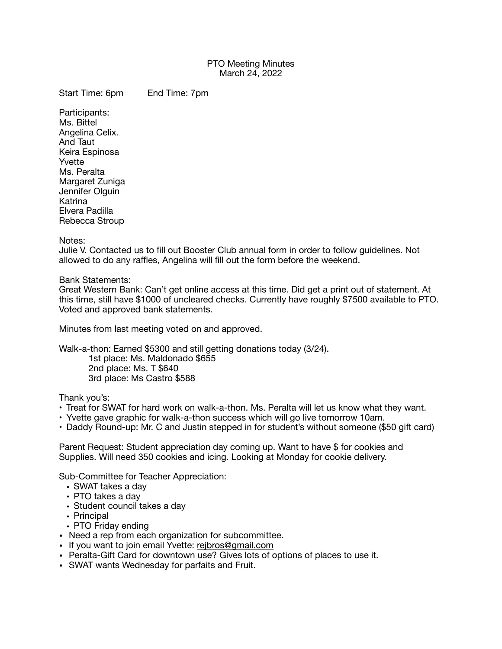## PTO Meeting Minutes March 24, 2022

Start Time: 6pm End Time: 7pm

Participants: Ms. Bittel Angelina Celix. And Taut Keira Espinosa Yvette Ms. Peralta Margaret Zuniga Jennifer Olguin Katrina Elvera Padilla Rebecca Stroup

Notes:

Julie V. Contacted us to fill out Booster Club annual form in order to follow guidelines. Not allowed to do any raffles, Angelina will fill out the form before the weekend.

Bank Statements:

Great Western Bank: Can't get online access at this time. Did get a print out of statement. At this time, still have \$1000 of uncleared checks. Currently have roughly \$7500 available to PTO. Voted and approved bank statements.

Minutes from last meeting voted on and approved.

Walk-a-thon: Earned \$5300 and still getting donations today (3/24).

1st place: Ms. Maldonado \$655 2nd place: Ms. T \$640 3rd place: Ms Castro \$588

Thank you's:

- Treat for SWAT for hard work on walk-a-thon. Ms. Peralta will let us know what they want.
- Yvette gave graphic for walk-a-thon success which will go live tomorrow 10am.
- Daddy Round-up: Mr. C and Justin stepped in for student's without someone (\$50 gift card)

Parent Request: Student appreciation day coming up. Want to have \$ for cookies and Supplies. Will need 350 cookies and icing. Looking at Monday for cookie delivery.

Sub-Committee for Teacher Appreciation:

- SWAT takes a day
- PTO takes a day
- Student council takes a day
- Principal
- PTO Friday ending
- Need a rep from each organization for subcommittee.
- If you want to join email Yvette: [rejbros@gmail.com](mailto:rejbros@gmail.com)
- Peralta-Gift Card for downtown use? Gives lots of options of places to use it.
- SWAT wants Wednesday for parfaits and Fruit.